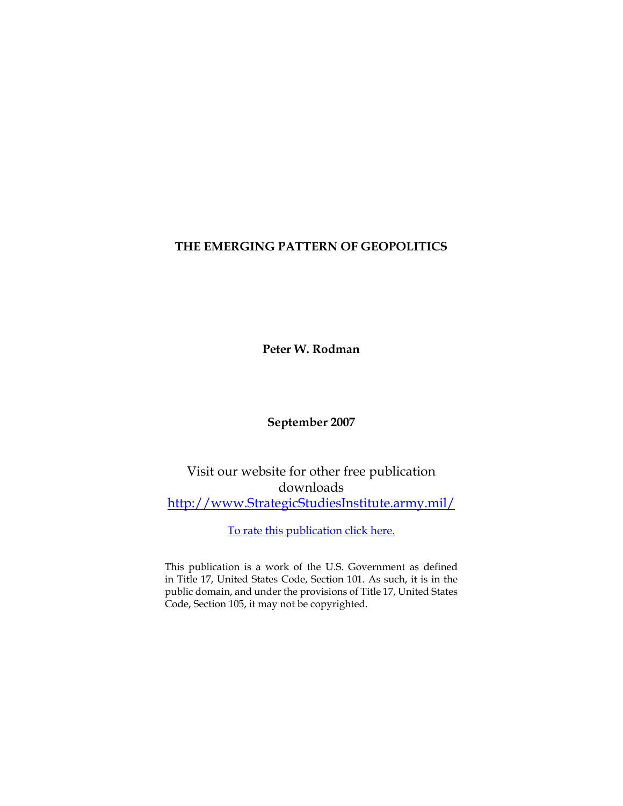# **THE EMERGING PATTERN OF GEOPOLITICS**

**Peter W. Rodman**

**September 2007**

Visit our website for other free publication downloads [http://www.StrategicStudiesInstitute.army.mil/](http://www.StrategicStudiesInstitute.army.mil)

[To rate this publication click here.](http://www.strategicstudiesinstitute.army.mil/pubs/display.cfm?pubID=807)

This publication is a work of the U.S. Government as defined in Title 17, United States Code, Section 101. As such, it is in the public domain, and under the provisions of Title 17, United States Code, Section 105, it may not be copyrighted.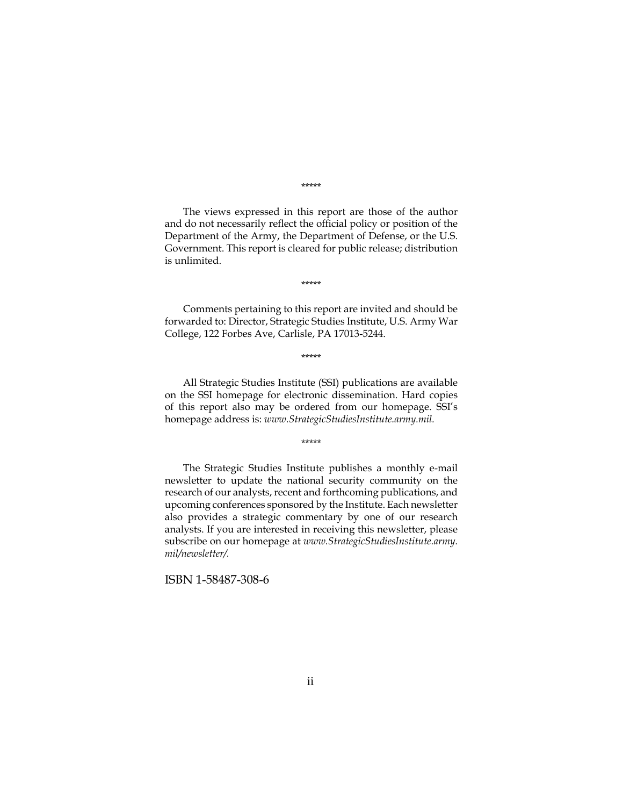\*\*\*\*\*

The views expressed in this report are those of the author and do not necessarily reflect the official policy or position of the Department of the Army, the Department of Defense, or the U.S. Government. This report is cleared for public release; distribution is unlimited.

\*\*\*\*\*

Comments pertaining to this report are invited and should be forwarded to: Director, Strategic Studies Institute, U.S. Army War College, 122 Forbes Ave, Carlisle, PA 17013-5244.

\*\*\*\*\*

All Strategic Studies Institute (SSI) publications are available on the SSI homepage for electronic dissemination. Hard copies of this report also may be ordered from our homepage. SSI's homepage address is: *www.StrategicStudiesInstitute.army.mil.*

\*\*\*\*\*

The Strategic Studies Institute publishes a monthly e-mail newsletter to update the national security community on the research of our analysts, recent and forthcoming publications, and upcoming conferences sponsored by the Institute. Each newsletter also provides a strategic commentary by one of our research analysts. If you are interested in receiving this newsletter, please subscribe on our homepage at *www.StrategicStudiesInstitute.army. mil/newsletter/.*

ISBN 1-58487-308-6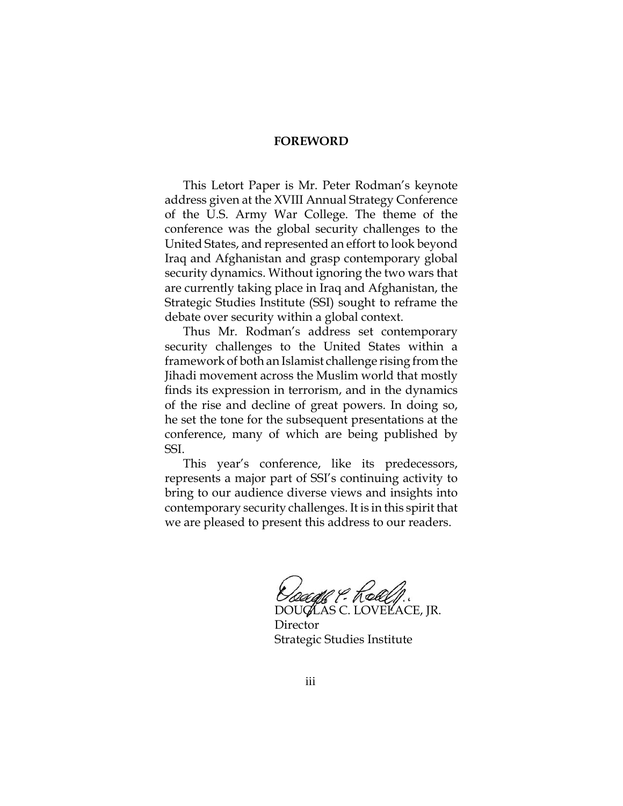### **FOREWORD**

This Letort Paper is Mr. Peter Rodman's keynote address given at the XVIII Annual Strategy Conference of the U.S. Army War College. The theme of the conference was the global security challenges to the United States, and represented an effort to look beyond Iraq and Afghanistan and grasp contemporary global security dynamics. Without ignoring the two wars that are currently taking place in Iraq and Afghanistan, the Strategic Studies Institute (SSI) sought to reframe the debate over security within a global context.

Thus Mr. Rodman's address set contemporary security challenges to the United States within a framework of both an Islamist challenge rising from the Jihadi movement across the Muslim world that mostly finds its expression in terrorism, and in the dynamics of the rise and decline of great powers. In doing so, he set the tone for the subsequent presentations at the conference, many of which are being published by SSI.

This year's conference, like its predecessors, represents a major part of SSI's continuing activity to bring to our audience diverse views and insights into contemporary security challenges. It is in this spirit that we are pleased to present this address to our readers.

*Dougle P. Rollf.*<br>DOUGLAS C. LOVELACE, JR.

**Director** Strategic Studies Institute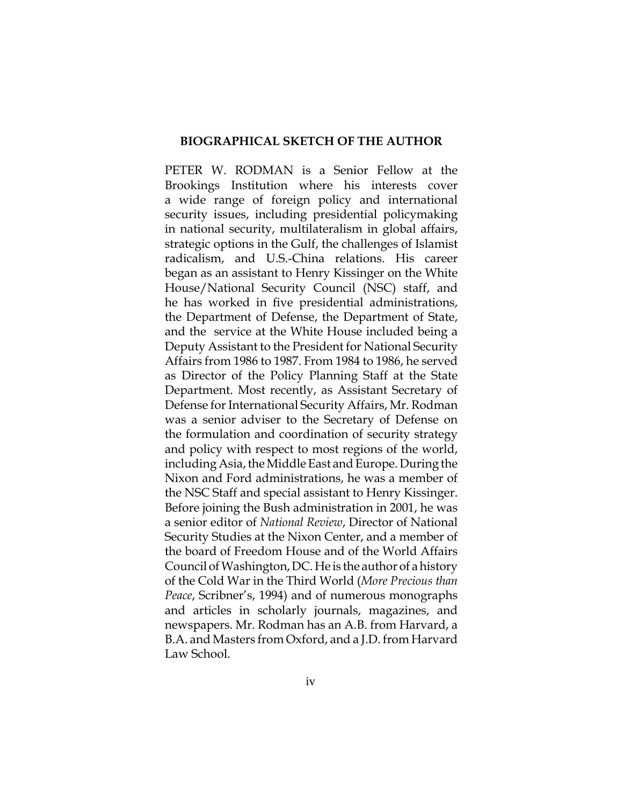#### **BIOGRAPHICAL SKETCH OF THE AUTHOR**

PETER W. RODMAN is a Senior Fellow at the Brookings Institution where his interests cover a wide range of foreign policy and international security issues, including presidential policymaking in national security, multilateralism in global affairs, strategic options in the Gulf, the challenges of Islamist radicalism, and U.S.-China relations. His career began as an assistant to Henry Kissinger on the White House/National Security Council (NSC) staff, and he has worked in five presidential administrations, the Department of Defense, the Department of State, and the service at the White House included being a Deputy Assistant to the President for National Security Affairs from 1986 to 1987. From 1984 to 1986, he served as Director of the Policy Planning Staff at the State Department. Most recently, as Assistant Secretary of Defense for International Security Affairs, Mr. Rodman was a senior adviser to the Secretary of Defense on the formulation and coordination of security strategy and policy with respect to most regions of the world, including Asia, the Middle East and Europe. During the Nixon and Ford administrations, he was a member of the NSC Staff and special assistant to Henry Kissinger. Before joining the Bush administration in 2001, he was a senior editor of *National Review*, Director of National Security Studies at the Nixon Center, and a member of the board of Freedom House and of the World Affairs Council of Washington, DC. He is the author of a history of the Cold War in the Third World (*More Precious than Peace*, Scribner's, 1994) and of numerous monographs and articles in scholarly journals, magazines, and newspapers. Mr. Rodman has an A.B. from Harvard, a B.A. and Masters from Oxford, and a J.D. from Harvard Law School.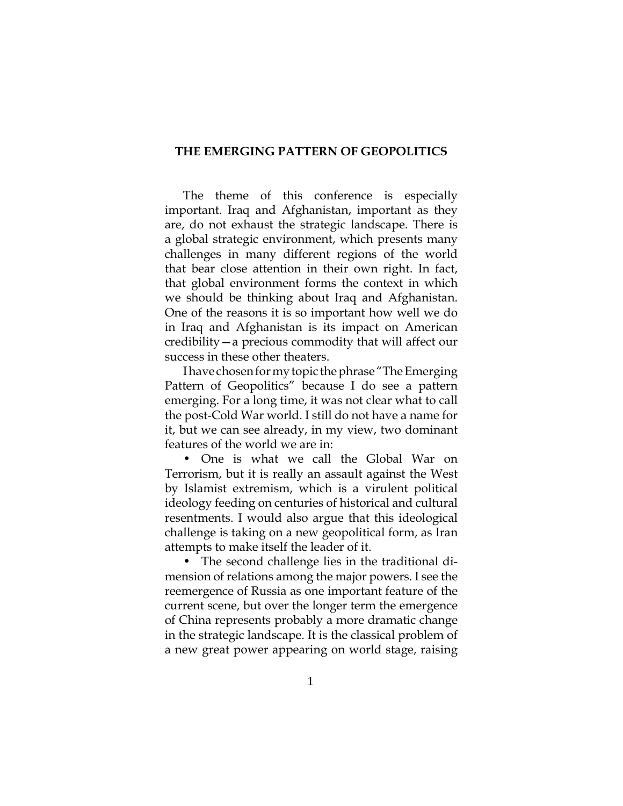### **THE EMERGING PATTERN OF GEOPOLITICS**

The theme of this conference is especially important. Iraq and Afghanistan, important as they are, do not exhaust the strategic landscape. There is a global strategic environment, which presents many challenges in many different regions of the world that bear close attention in their own right. In fact, that global environment forms the context in which we should be thinking about Iraq and Afghanistan. One of the reasons it is so important how well we do in Iraq and Afghanistan is its impact on American credibility—a precious commodity that will affect our success in these other theaters.

I have chosen for my topic the phrase "The Emerging Pattern of Geopolitics" because I do see a pattern emerging. For a long time, it was not clear what to call the post-Cold War world. I still do not have a name for it, but we can see already, in my view, two dominant features of the world we are in:

• One is what we call the Global War on Terrorism, but it is really an assault against the West by Islamist extremism, which is a virulent political ideology feeding on centuries of historical and cultural resentments. I would also argue that this ideological challenge is taking on a new geopolitical form, as Iran attempts to make itself the leader of it.

• The second challenge lies in the traditional dimension of relations among the major powers. I see the reemergence of Russia as one important feature of the current scene, but over the longer term the emergence of China represents probably a more dramatic change in the strategic landscape. It is the classical problem of a new great power appearing on world stage, raising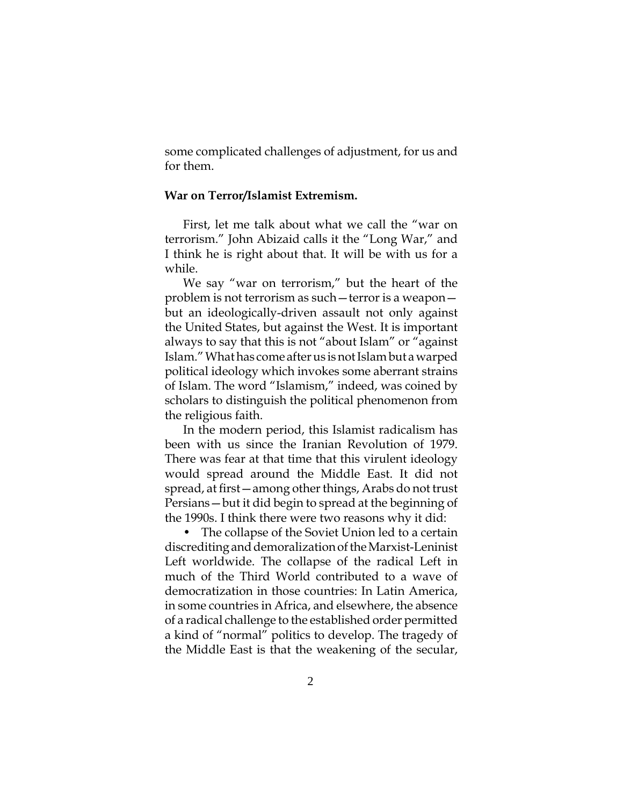some complicated challenges of adjustment, for us and for them.

## **War on Terror/Islamist Extremism.**

First, let me talk about what we call the "war on terrorism." John Abizaid calls it the "Long War," and I think he is right about that. It will be with us for a while.

We say "war on terrorism," but the heart of the problem is not terrorism as such—terror is a weapon but an ideologically-driven assault not only against the United States, but against the West. It is important always to say that this is not "about Islam" or "against Islam." What has come after us is not Islam but a warped political ideology which invokes some aberrant strains of Islam. The word "Islamism," indeed, was coined by scholars to distinguish the political phenomenon from the religious faith.

In the modern period, this Islamist radicalism has been with us since the Iranian Revolution of 1979. There was fear at that time that this virulent ideology would spread around the Middle East. It did not spread, at first—among other things, Arabs do not trust Persians—but it did begin to spread at the beginning of the 1990s. I think there were two reasons why it did:

• The collapse of the Soviet Union led to a certain discrediting and demoralization of the Marxist-Leninist Left worldwide. The collapse of the radical Left in much of the Third World contributed to a wave of democratization in those countries: In Latin America, in some countries in Africa, and elsewhere, the absence of a radical challenge to the established order permitted a kind of "normal" politics to develop. The tragedy of the Middle East is that the weakening of the secular,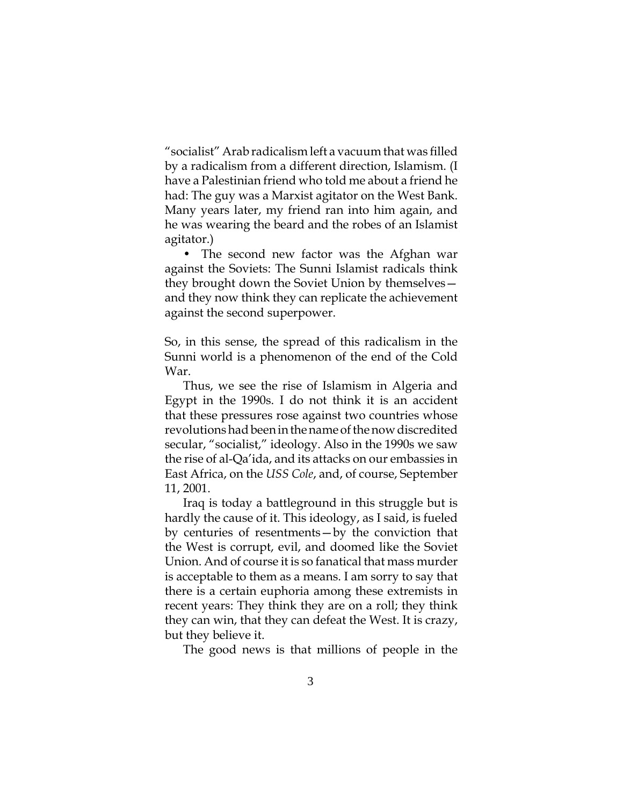"socialist" Arab radicalism left a vacuum that was filled by a radicalism from a different direction, Islamism. (I have a Palestinian friend who told me about a friend he had: The guy was a Marxist agitator on the West Bank. Many years later, my friend ran into him again, and he was wearing the beard and the robes of an Islamist agitator.)

• The second new factor was the Afghan war against the Soviets: The Sunni Islamist radicals think they brought down the Soviet Union by themselves and they now think they can replicate the achievement against the second superpower.

So, in this sense, the spread of this radicalism in the Sunni world is a phenomenon of the end of the Cold War.

Thus, we see the rise of Islamism in Algeria and Egypt in the 1990s. I do not think it is an accident that these pressures rose against two countries whose revolutions had been in the name of the now discredited secular, "socialist," ideology. Also in the 1990s we saw the rise of al-Qa'ida, and its attacks on our embassies in East Africa, on the *USS Cole*, and, of course, September 11, 2001.

Iraq is today a battleground in this struggle but is hardly the cause of it. This ideology, as I said, is fueled by centuries of resentments—by the conviction that the West is corrupt, evil, and doomed like the Soviet Union. And of course it is so fanatical that mass murder is acceptable to them as a means. I am sorry to say that there is a certain euphoria among these extremists in recent years: They think they are on a roll; they think they can win, that they can defeat the West. It is crazy, but they believe it.

The good news is that millions of people in the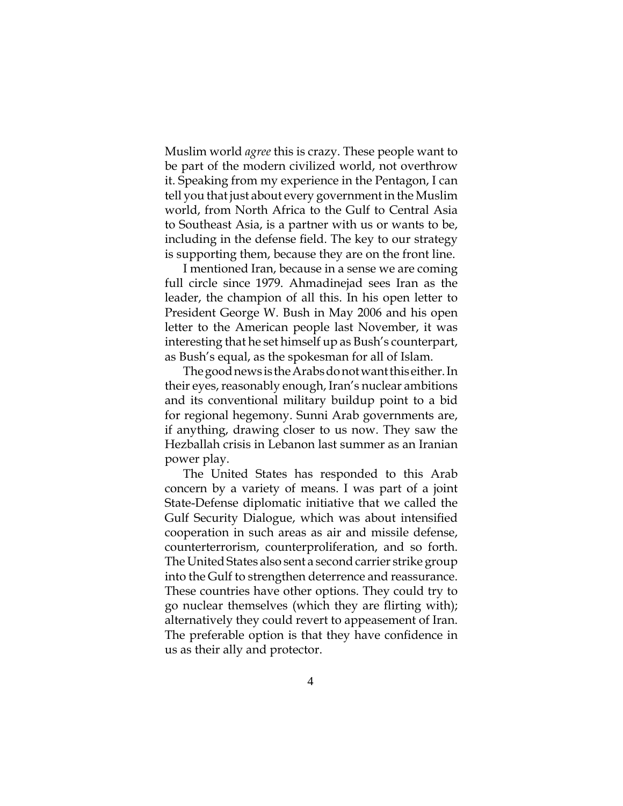Muslim world *agree* this is crazy. These people want to be part of the modern civilized world, not overthrow it. Speaking from my experience in the Pentagon, I can tell you that just about every government in the Muslim world, from North Africa to the Gulf to Central Asia to Southeast Asia, is a partner with us or wants to be, including in the defense field. The key to our strategy is supporting them, because they are on the front line.

I mentioned Iran, because in a sense we are coming full circle since 1979. Ahmadinejad sees Iran as the leader, the champion of all this. In his open letter to President George W. Bush in May 2006 and his open letter to the American people last November, it was interesting that he set himself up as Bush's counterpart, as Bush's equal, as the spokesman for all of Islam.

The good news is the Arabs do not want this either. In their eyes, reasonably enough, Iran's nuclear ambitions and its conventional military buildup point to a bid for regional hegemony. Sunni Arab governments are, if anything, drawing closer to us now. They saw the Hezballah crisis in Lebanon last summer as an Iranian power play.

The United States has responded to this Arab concern by a variety of means. I was part of a joint State-Defense diplomatic initiative that we called the Gulf Security Dialogue, which was about intensified cooperation in such areas as air and missile defense, counterterrorism, counterproliferation, and so forth. The United States also sent a second carrier strike group into the Gulf to strengthen deterrence and reassurance. These countries have other options. They could try to go nuclear themselves (which they are flirting with); alternatively they could revert to appeasement of Iran. The preferable option is that they have confidence in us as their ally and protector.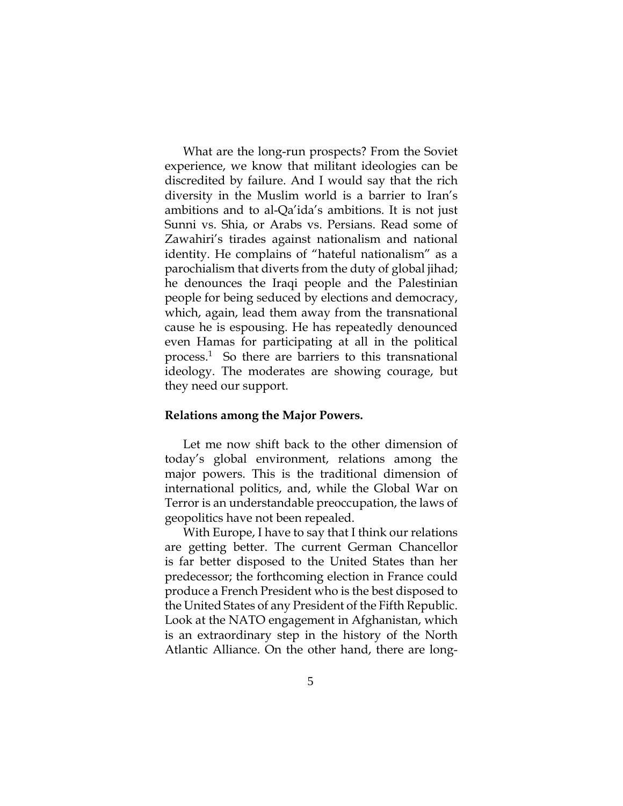What are the long-run prospects? From the Soviet experience, we know that militant ideologies can be discredited by failure. And I would say that the rich diversity in the Muslim world is a barrier to Iran's ambitions and to al-Qa'ida's ambitions. It is not just Sunni vs. Shia, or Arabs vs. Persians. Read some of Zawahiri's tirades against nationalism and national identity. He complains of "hateful nationalism" as a parochialism that diverts from the duty of global jihad; he denounces the Iraqi people and the Palestinian people for being seduced by elections and democracy, which, again, lead them away from the transnational cause he is espousing. He has repeatedly denounced even Hamas for participating at all in the political process.1 So there are barriers to this transnational ideology. The moderates are showing courage, but they need our support.

### **Relations among the Major Powers.**

Let me now shift back to the other dimension of today's global environment, relations among the major powers. This is the traditional dimension of international politics, and, while the Global War on Terror is an understandable preoccupation, the laws of geopolitics have not been repealed.

With Europe, I have to say that I think our relations are getting better. The current German Chancellor is far better disposed to the United States than her predecessor; the forthcoming election in France could produce a French President who is the best disposed to the United States of any President of the Fifth Republic. Look at the NATO engagement in Afghanistan, which is an extraordinary step in the history of the North Atlantic Alliance. On the other hand, there are long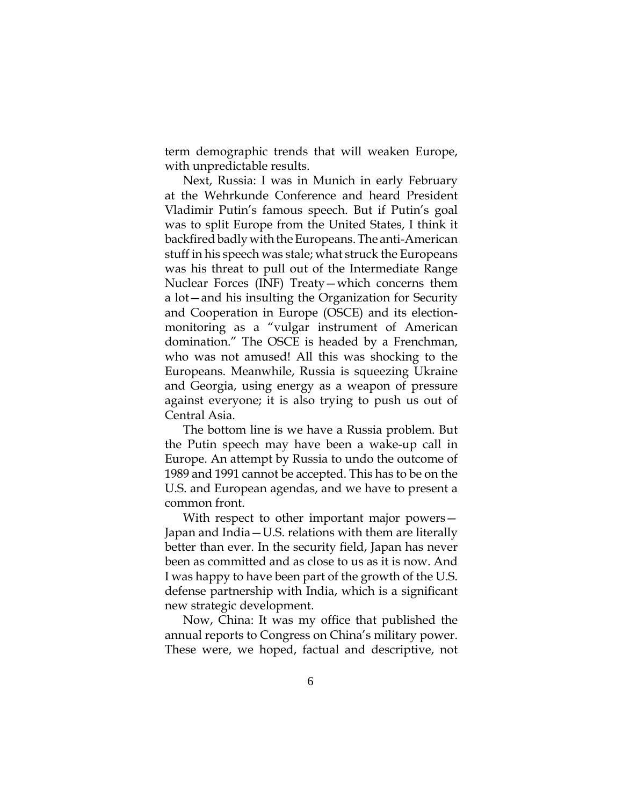term demographic trends that will weaken Europe, with unpredictable results.

Next, Russia: I was in Munich in early February at the Wehrkunde Conference and heard President Vladimir Putin's famous speech. But if Putin's goal was to split Europe from the United States, I think it backfired badly with the Europeans. The anti-American stuff in his speech was stale; what struck the Europeans was his threat to pull out of the Intermediate Range Nuclear Forces (INF) Treaty—which concerns them a lot—and his insulting the Organization for Security and Cooperation in Europe (OSCE) and its electionmonitoring as a "vulgar instrument of American domination." The OSCE is headed by a Frenchman, who was not amused! All this was shocking to the Europeans. Meanwhile, Russia is squeezing Ukraine and Georgia, using energy as a weapon of pressure against everyone; it is also trying to push us out of Central Asia.

The bottom line is we have a Russia problem. But the Putin speech may have been a wake-up call in Europe. An attempt by Russia to undo the outcome of 1989 and 1991 cannot be accepted. This has to be on the U.S. and European agendas, and we have to present a common front.

With respect to other important major powers— Japan and India—U.S. relations with them are literally better than ever. In the security field, Japan has never been as committed and as close to us as it is now. And I was happy to have been part of the growth of the U.S. defense partnership with India, which is a significant new strategic development.

Now, China: It was my office that published the annual reports to Congress on China's military power. These were, we hoped, factual and descriptive, not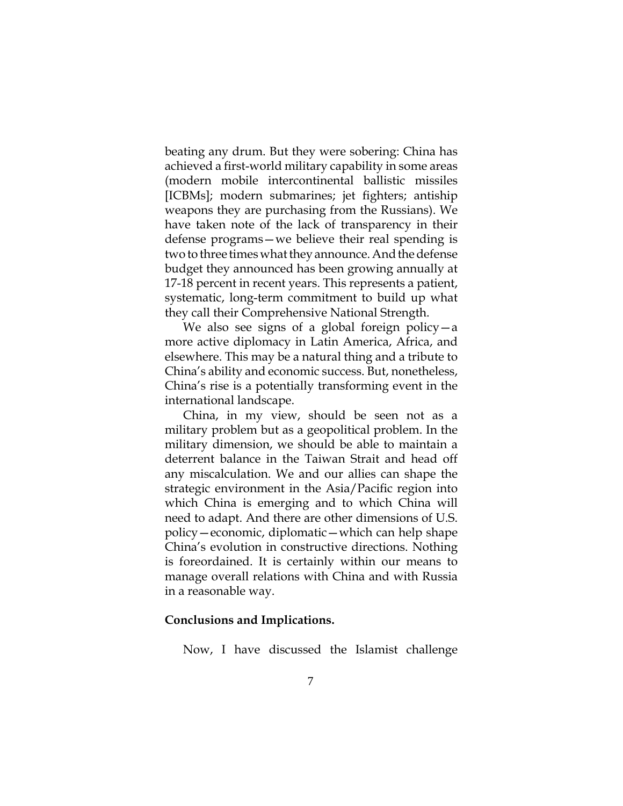beating any drum. But they were sobering: China has achieved a first-world military capability in some areas (modern mobile intercontinental ballistic missiles [ICBMs]; modern submarines; jet fighters; antiship weapons they are purchasing from the Russians). We have taken note of the lack of transparency in their defense programs—we believe their real spending is two to three times what they announce. And the defense budget they announced has been growing annually at 17-18 percent in recent years. This represents a patient, systematic, long-term commitment to build up what they call their Comprehensive National Strength.

We also see signs of a global foreign policy—a more active diplomacy in Latin America, Africa, and elsewhere. This may be a natural thing and a tribute to China's ability and economic success. But, nonetheless, China's rise is a potentially transforming event in the international landscape.

China, in my view, should be seen not as a military problem but as a geopolitical problem. In the military dimension, we should be able to maintain a deterrent balance in the Taiwan Strait and head off any miscalculation. We and our allies can shape the strategic environment in the Asia/Pacific region into which China is emerging and to which China will need to adapt. And there are other dimensions of U.S. policy—economic, diplomatic—which can help shape China's evolution in constructive directions. Nothing is foreordained. It is certainly within our means to manage overall relations with China and with Russia in a reasonable way.

### **Conclusions and Implications.**

Now, I have discussed the Islamist challenge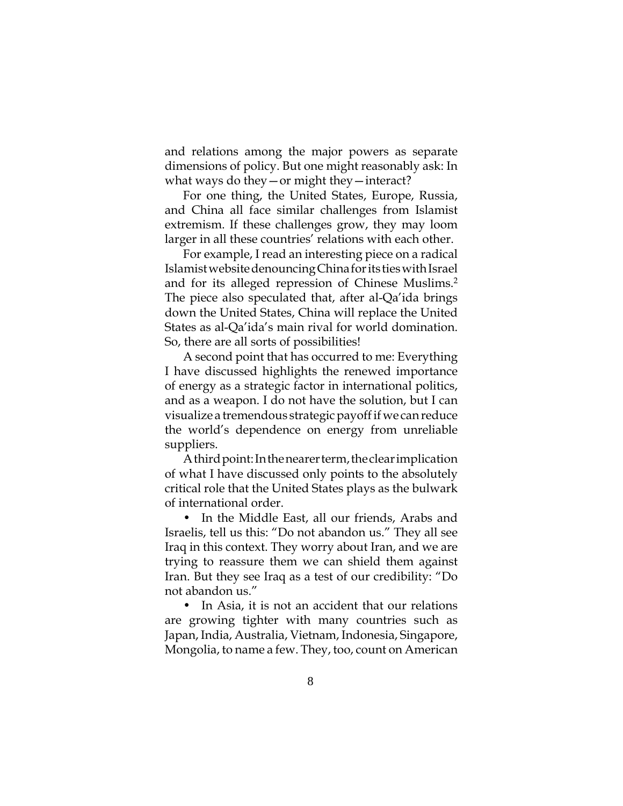and relations among the major powers as separate dimensions of policy. But one might reasonably ask: In what ways do they—or might they—interact?

For one thing, the United States, Europe, Russia, and China all face similar challenges from Islamist extremism. If these challenges grow, they may loom larger in all these countries' relations with each other.

For example, I read an interesting piece on a radical Islamist website denouncing China for its ties with Israel and for its alleged repression of Chinese Muslims.<sup>2</sup> The piece also speculated that, after al-Qa'ida brings down the United States, China will replace the United States as al-Qa'ida's main rival for world domination. So, there are all sorts of possibilities!

A second point that has occurred to me: Everything I have discussed highlights the renewed importance of energy as a strategic factor in international politics, and as a weapon. I do not have the solution, but I can visualize a tremendous strategic payoff if we can reduce the world's dependence on energy from unreliable suppliers.

A third point: In the nearer term, the clear implication of what I have discussed only points to the absolutely critical role that the United States plays as the bulwark of international order.

• In the Middle East, all our friends, Arabs and Israelis, tell us this: "Do not abandon us." They all see Iraq in this context. They worry about Iran, and we are trying to reassure them we can shield them against Iran. But they see Iraq as a test of our credibility: "Do not abandon us."

• In Asia, it is not an accident that our relations are growing tighter with many countries such as Japan, India, Australia, Vietnam, Indonesia, Singapore, Mongolia, to name a few. They, too, count on American